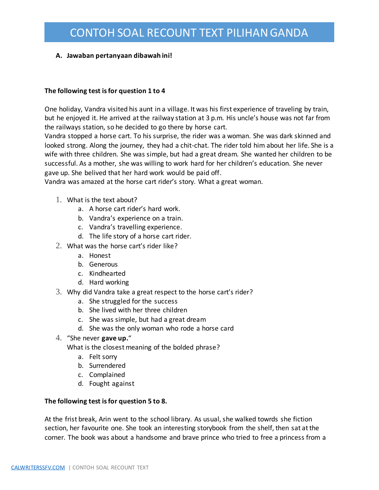### **A. Jawaban pertanyaan dibawah ini!**

#### **The following test is for question 1 to 4**

One holiday, Vandra visited his aunt in a village. It was his first experience of traveling by train, but he enjoyed it. He arrived at the railway station at 3 p.m. His uncle's house was not far from the railways station, so he decided to go there by horse cart.

Vandra stopped a horse cart. To his surprise, the rider was a woman. She was dark skinned and looked strong. Along the journey, they had a chit-chat. The rider told him about her life. She is a wife with three children. She was simple, but had a great dream. She wanted her children to be successful. As a mother, she was willing to work hard for her children's education. She never gave up. She belived that her hard work would be paid off.

Vandra was amazed at the horse cart rider's story. What a great woman.

- 1. What is the text about?
	- a. A horse cart rider's hard work.
	- b. Vandra's experience on a train.
	- c. Vandra's travelling experience.
	- d. The life story of a horse cart rider.
- 2. What was the horse cart's rider like?
	- a. Honest
	- b. Generous
	- c. Kindhearted
	- d. Hard working
- 3. Why did Vandra take a great respect to the horse cart's rider?
	- a. She struggled for the success
	- b. She lived with her three children
	- c. She was simple, but had a great dream
	- d. She was the only woman who rode a horse card
- 4. "She never **gave up.**"

What is the closest meaning of the bolded phrase?

- a. Felt sorry
- b. Surrendered
- c. Complained
- d. Fought against

#### **The following test is for question 5 to 8.**

At the frist break, Arin went to the school library. As usual, she walked towrds she fiction section, her favourite one. She took an interesting storybook from the shelf, then sat at the corner. The book was about a handsome and brave prince who tried to free a princess from a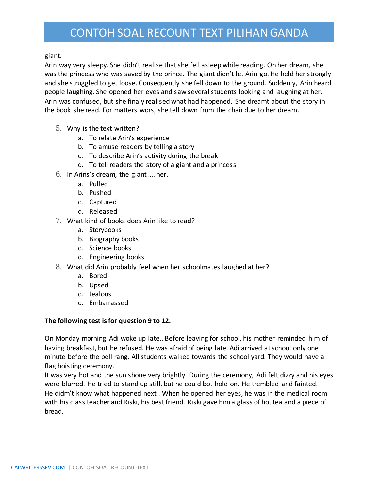giant.

Arin way very sleepy. She didn't realise that she fell asleep while reading. On her dream, she was the princess who was saved by the prince. The giant didn't let Arin go. He held her strongly and she struggled to get loose. Consequently she fell down to the ground. Suddenly, Arin heard people laughing. She opened her eyes and saw several students looking and laughing at her. Arin was confused, but she finaly realised what had happened. She dreamt about the story in the book she read. For matters wors, she tell down from the chair due to her dream.

- 5. Why is the text written?
	- a. To relate Arin's experience
	- b. To amuse readers by telling a story
	- c. To describe Arin's activity during the break
	- d. To tell readers the story of a giant and a princess
- 6. In Arins's dream, the giant …. her.
	- a. Pulled
	- b. Pushed
	- c. Captured
	- d. Released
- 7. What kind of books does Arin like to read?
	- a. Storybooks
	- b. Biography books
	- c. Science books
	- d. Engineering books
- 8. What did Arin probably feel when her schoolmates laughed at her?
	- a. Bored
	- b. Upsed
	- c. Jealous
	- d. Embarrassed

### **The following test is for question 9 to 12.**

On Monday morning Adi woke up late.. Before leaving for school, his mother reminded him of having breakfast, but he refused. He was afraid of being late. Adi arrived at school only one minute before the bell rang. All students walked towards the school yard. They would have a flag hoisting ceremony.

It was very hot and the sun shone very brightly. During the ceremony, Adi felt dizzy and his eyes were blurred. He tried to stand up still, but he could bot hold on. He trembled and fainted. He didm't know what happened next . When he opened her eyes, he was in the medical room with his class teacher and Riski, his best friend. Riski gave him a glass of hot tea and a piece of bread.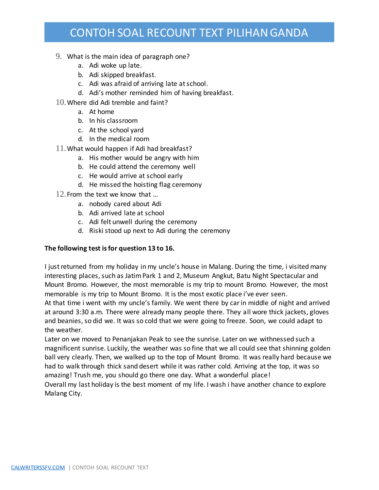- 9. What is the main idea of paragraph one?
	- a. Adi woke up late.
	- b. Adi skipped breakfast.
	- c. Adi was afraid of arriving late at school.
	- d. Adi's mother reminded him of having breakfast.
- 10.Where did Adi tremble and faint?
	- a. At home
	- b. In his classroom
	- c. At the school yard
	- d. In the medical room
- 11.What would happen if Adi had breakfast?
	- a. His mother would be angry with him
	- b. He could attend the ceremony well
	- c. He would arrive at school early
	- d. He missed the hoisting flag ceremony
- 12.From the text we know that …
	- a. nobody cared about Adi
	- b. Adi arrived late at school
	- c. Adi felt unwell during the ceremony
	- d. Riski stood up next to Adi during the ceremony

### **The following test is for question 13 to 16.**

I just returned from my holiday in my uncle's house in Malang. During the time, i visited many interesting places, such as Jatim Park 1 and 2, Museum Angkut, Batu Night Spectacular and Mount Bromo. However, the most memorable is my trip to mount Bromo. However, the most memorable is my trip to Mount Bromo. It is the most exotic place i've ever seen. At that time i went with my uncle's family. We went there by car in middle of night and arrived at around 3:30 a.m. There were already many people there. They all wore thick jackets, gloves and beanies, so did we. It was so cold that we were going to freeze. Soon, we could adapt to the weather.

Later on we moved to Penanjakan Peak to see the sunrise. Later on we withnessed such a magnificent sunrise. Luckily, the weather was so fine that we all could see that shinning golden ball very clearly. Then, we walked up to the top of Mount Bromo. It was really hard because we had to walk through thick sand desert while it was rather cold. Arriving at the top, it was so amazing! Trush me, you should go there one day. What a wonderful place! Overall my last holiday is the best moment of my life. I wash i have another chance to explore

Malang City.